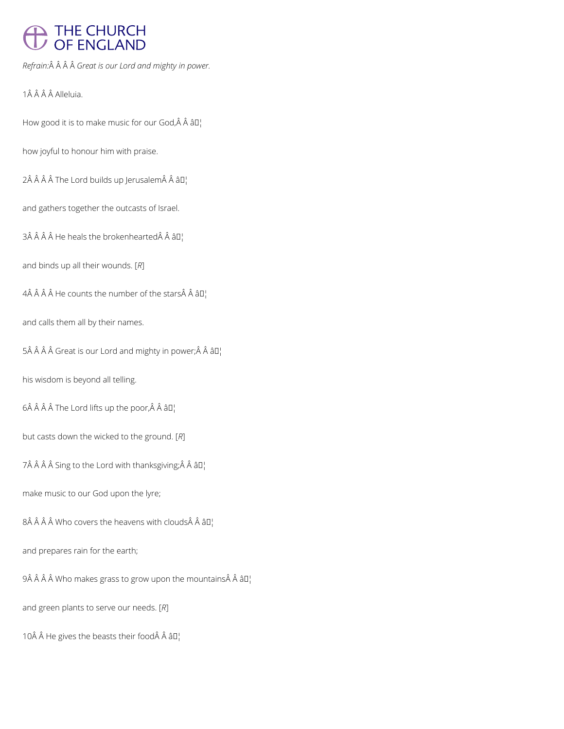# THE CHURCH<br>OF ENGLAND

*Refrain: Great is our Lord and mighty in power.*

1Â Â Â Â Alleluia.

How good it is to make music for our God, Â Â âD¦

how joyful to honour him with praise.

 $2\hat{A}$   $\hat{A}$   $\hat{A}$   $\hat{A}$  The Lord builds up Jerusalem $\hat{A}$   $\hat{A}$   $\hat{a}$ D<sub>1</sub>

and gathers together the outcasts of Israel.

 $3\hat{A}$   $\hat{A}$   $\hat{A}$  He heals the brokenhearted $\hat{A}$   $\hat{A}$   $3\Pi$ 

and binds up all their wounds. [*R*]

 $4\hat{A}$   $\hat{A}$   $\hat{A}$   $\hat{A}$  He counts the number of the stars $\hat{A}$   $\hat{A}$   $\hat{a}$   $\Box$ 

and calls them all by their names.

5Â Â Â Â Great is our Lord and mighty in power; Â Â â  $\mathbb{I}^1$ 

his wisdom is beyond all telling.

 $6\hat{A}$   $\hat{A}$   $\hat{A}$   $\hat{A}$  The Lord lifts up the poor, $\hat{A}$   $\hat{A}$   $\hat{a}$   $I$ <sub>1</sub>

but casts down the wicked to the ground. [*R*]

7Â Â Â Â Sing to the Lord with thanksgiving; Â Â â  $\mathbb{I}_1$ 

make music to our God upon the lyre;

 $8\hat{A}$   $\hat{A}$   $\hat{A}$  Who covers the heavens with clouds $\hat{A}$   $\hat{A}$   $\hat{a}$   $\Pi$ <sub>1</sub>

## and prepares rain for the earth;

 $9$  Â Who makes grass to grow upon the mountains Â â $\square_1^+$ 

and green plants to serve our needs. [*R*]

10 $\hat{A}$   $\hat{A}$  He gives the beasts their food $\hat{A}$   $\hat{A}$   $\hat{a}$   $\Box$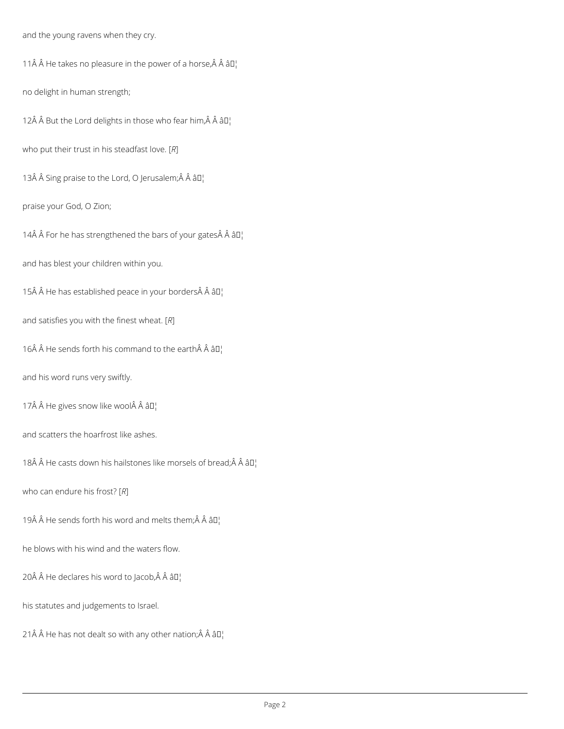and the young ravens when they cry.

11 $\hat{A}$   $\hat{A}$  He takes no pleasure in the power of a horse, $\hat{A}$   $\hat{A}$   $\hat{a}$  $\Box$ 

no delight in human strength;

12Â Â But the Lord delights in those who fear him, Â Â â $\square$ 

who put their trust in his steadfast love. [*R*]

13Â Â Sing praise to the Lord, O Jerusalem;Â Â â []

praise your God, O Zion;

14 $\hat{A}$   $\hat{A}$  For he has strengthened the bars of your gates  $\hat{A}$   $\hat{A}$   $\hat{a}$   $\Gamma$ 

and has blest your children within you.

15 He has established peace in your borders Â âD¦

and satisfies you with the finest wheat. [*R*]

16 $\hat{A}$   $\hat{A}$  He sends forth his command to the earth $\hat{A}$   $\hat{A}$   $\hat{a}$   $I$ <sub>1</sub>

and his word runs very swiftly.

17 $\hat{A}$   $\hat{A}$  He gives snow like wool $\hat{A}$   $\hat{A}$   $\hat{a}$  $\Box$ 

and scatters the hoarfrost like ashes.

18 $\hat{A}$   $\hat{A}$  He casts down his hailstones like morsels of bread; $\hat{A}$   $\hat{A}$   $\hat{a}$  $\Box$ 

who can endure his frost? [*R*]

19 $\hat{A}$   $\hat{A}$  He sends forth his word and melts them; $\hat{A}$   $\hat{A}$   $\hat{a}$  $\Box$ 

he blows with his wind and the waters flow.

20 $\hat{A}$   $\hat{A}$  He declares his word to Jacob, $\hat{A}$   $\hat{A}$   $\hat{a}$   $\Pi$ <sup>1</sup>

his statutes and judgements to Israel.

21  $\hat{A}$   $\hat{A}$  He has not dealt so with any other nation;  $\hat{A}$   $\hat{A}$   $\hat{a}$   $\Box$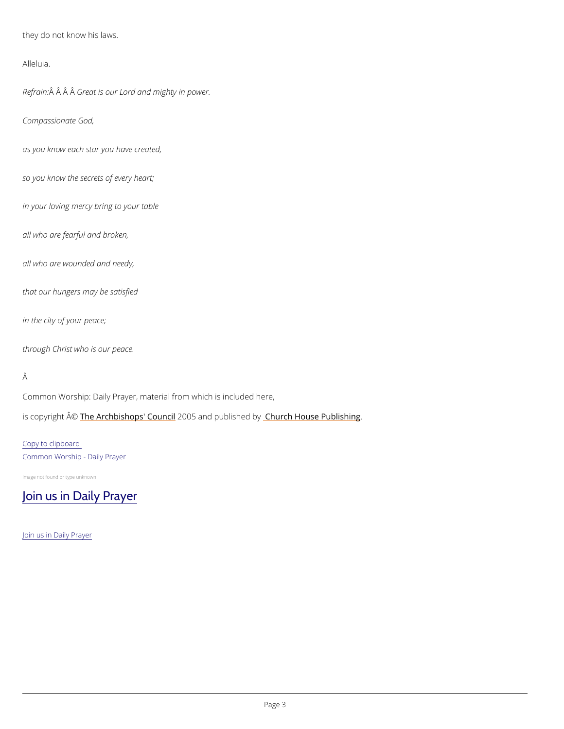they do not know his laws.

Alleluia.

Refra $\hat{A}$ in $\hat{A}$   $\hat{A}$ G $\hat{A}$ eat is our Lord and mighty in power.

Compassionate God,

as you know each star you have created,

so you know the secrets of every heart;

Common Worship: Daily Prayer, material from which is included here, is copyrighth  $\hat{\mathbb{A}}$  @Archbishops' 2CO oO u5 naid publish by House Publishing

in your loving mercy bring to your table

all who are fearful and broken,

all who are wounded and needy,

that our hungers may be satisfied

in the city of your peace;

through Christ who is our peace.

### Â

Copy to clipboard Common Worship - Daily Prayer

Image not found or type unknown

## [Join us in Daily Prayer](https://www.churchofengland.org/prayer-and-worship/join-us-in-daily-prayer)

#### Join us in Daily Prayer